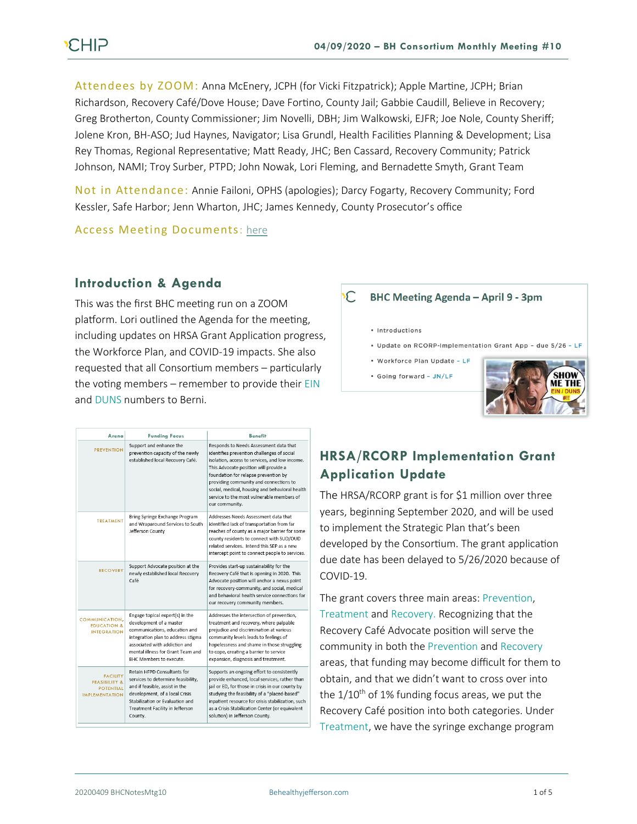Attendees by ZOOM: Anna McEnery, JCPH (for Vicki Fitzpatrick); Apple Martine, JCPH; Brian Richardson, Recovery Café/Dove House; Dave Fortino, County Jail; Gabbie Caudill, Believe in Recovery; Greg Brotherton, County Commissioner; Jim Novelli, DBH; Jim Walkowski, EJFR; Joe Nole, County Sheriff; Jolene Kron, BH-ASO; Jud Haynes, Navigator; Lisa Grundl, Health Facilities Planning & Development; Lisa Rey Thomas, Regional Representative; Matt Ready, JHC; Ben Cassard, Recovery Community; Patrick Johnson, NAMI; Troy Surber, PTPD; John Nowak, Lori Fleming, and Bernadette Smyth, Grant Team

Not in Attendance: Annie Failoni, OPHS (apologies); Darcy Fogarty, Recovery Community; Ford Kessler, Safe Harbor; Jenn Wharton, JHC; James Kennedy, County Prosecutor's office

Access Meeting Documents: [here](https://www.behealthyjefferson.com/copy-of-meeting-minutes)

### **Introduction & Agenda**

This was the first BHC meeting run on a ZOOM platform. Lori outlined the Agenda for the meeting, including updates on HRSA Grant Application progress, the Workforce Plan, and COVID-19 impacts. She also requested that all Consortium members – particularly the voting members – remember to provide their EIN and DUNS numbers to Berni.

#### $\mathsf C$ **BHC Meeting Agenda - April 9 - 3pm**

- · Introductions
- . Update on RCORP-Implementation Grant App due 5/26 LF
- · Workforce Plan Update LF • Going forward - JN/LF



| Arena                                                                                    | <b>Funding Focus</b>                                                                                                                                                                                                                      | <b>Benefit</b>                                                                                                                                                                                                                                                                                                                                                                     |
|------------------------------------------------------------------------------------------|-------------------------------------------------------------------------------------------------------------------------------------------------------------------------------------------------------------------------------------------|------------------------------------------------------------------------------------------------------------------------------------------------------------------------------------------------------------------------------------------------------------------------------------------------------------------------------------------------------------------------------------|
| <b><i>PREVENTION</i></b>                                                                 | Support and enhance the<br>prevention capacity of the newly<br>established local Recovery Café.                                                                                                                                           | Responds to Needs Assessment data that<br>identifies prevention challenges of social<br>isolation, access to services, and low income,<br>This Advocate position will provide a<br>foundation for relapse prevention by<br>providing community and connections to<br>social, medical, housing and behavioral health<br>service to the most vulnerable members of<br>our community. |
| <b>TREATMENT</b>                                                                         | Bring Syringe Exchange Program<br>and Wraparound Services to South<br>Jefferson County                                                                                                                                                    | Addresses Needs Assessment data that<br>identified lack of transportation from far<br>reaches of county as a major barrier for some<br>county residents to connect with SUD/OUD<br>related services. Intend this SEP as a new<br>intercept point to connect people to services.                                                                                                    |
| <b>RECOVERY</b>                                                                          | Support Advocate position at the<br>newly established local Recovery<br>Café                                                                                                                                                              | Provides start-up sustainability for the<br>Recovery Café that is opening in 2020. This<br>Advocate position will anchor a nexus point<br>for recovery-community, and social, medical<br>and behavioral health service connections for<br>our recovery community members.                                                                                                          |
| COMMUNICATION.<br><b>EDUCATION &amp;</b><br><b>INTEGRATION</b>                           | Engage topical expert(s) in the<br>development of a master<br>communications, education and<br>integration plan to address stigma<br>associated with addiction and<br>mental illness for Grant Team and<br><b>BHC Members to execute.</b> | Addresses the intersection of prevention,<br>treatment and recovery, where palpable<br>prejudice and discrimination at various<br>community levels leads to feelings of<br>hopelessness and shame in those struggling<br>to cope, creating a barrier to service<br>expansion, diagnosis and treatment.                                                                             |
| <b>FACILITY</b><br><b>FEASIBILITY &amp;</b><br><b>POTENTIAL</b><br><b>IMPLEMENTATION</b> | Retain HFPD Consultants for<br>services to determine feasibility.<br>and if feasible, assist in the<br>development, of a local Crisis<br>Stabilization or Evaluation and<br>Treatment Facility in Jefferson<br>County.                    | Supports an ongoing effort to consistently<br>provide enhanced, local services, rather than<br>jail or ED, for those in crisis in our county by<br>studying the feasibility of a "placed-based"<br>inpatient resource for crisis stabilization, such<br>as a Crisis Stabilization Center (or equivalent<br>solution) in Jefferson County.                                          |

## **HRSA/RCORP Implementation Grant Application Update**

The HRSA/RCORP grant is for \$1 million over three years, beginning September 2020, and will be used to implement the Strategic Plan that's been developed by the Consortium. The grant application due date has been delayed to 5/26/2020 because of COVID-19.

The grant covers three main areas: Prevention, Treatment and Recovery. Recognizing that the Recovery Café Advocate position will serve the community in both the Prevention and Recovery areas, that funding may become difficult for them to obtain, and that we didn't want to cross over into the  $1/10^{th}$  of 1% funding focus areas, we put the Recovery Café position into both categories. Under Treatment, we have the syringe exchange program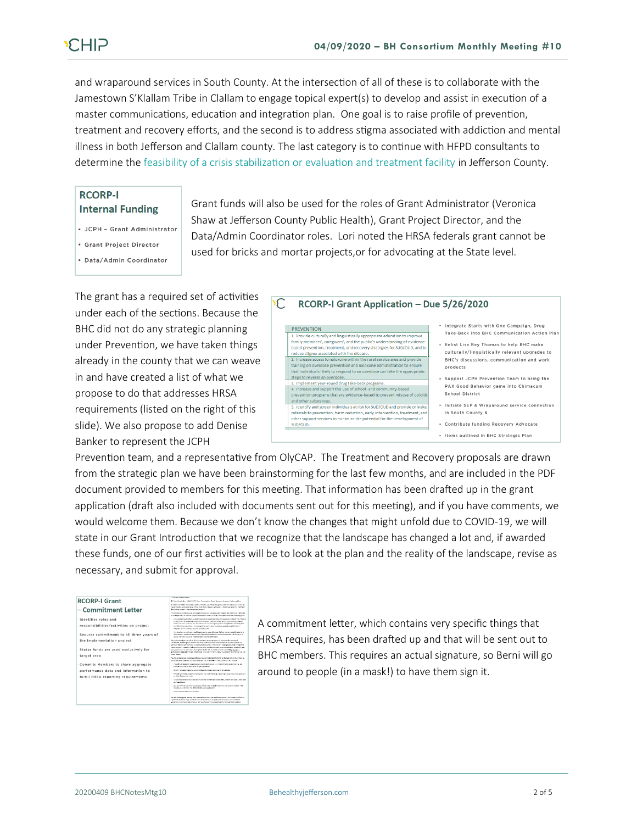and wraparound services in South County. At the intersection of all of these is to collaborate with the Jamestown S'Klallam Tribe in Clallam to engage topical expert(s) to develop and assist in execution of a master communications, education and integration plan. One goal is to raise profile of prevention, treatment and recovery efforts, and the second is to address stigma associated with addiction and mental illness in both Jefferson and Clallam county. The last category is to continue with HFPD consultants to determine the feasibility of a crisis stabilization or evaluation and treatment facility in Jefferson County.

> Grant funds will also be used for the roles of Grant Administrator (Veronica Shaw at Jefferson County Public Health), Grant Project Director, and the Data/Admin Coordinator roles. Lori noted the HRSA federals grant cannot be

used for bricks and mortar projects,or for advocating at the State level.

#### **RCORP-I Internal Funding**

· JCPH - Grant Administrator

· Grant Project Director

· Data/Admin Coordinator

The grant has a required set of activities  $\overline{\mathcal{L}}$ under each of the sections. Because the BHC did not do any strategic planning under Prevention, we have taken things already in the county that we can weave in and have created a list of what we propose to do that addresses HRSA requirements (listed on the right of this slide). We also propose to add Denise Banker to represent the JCPH

| RCORP-I Grant Application - Due 5/26/2020                                                                                                                                                                                                                                     |                                                                                                                                       |  |  |
|-------------------------------------------------------------------------------------------------------------------------------------------------------------------------------------------------------------------------------------------------------------------------------|---------------------------------------------------------------------------------------------------------------------------------------|--|--|
| <b>PREVENTION</b><br>1. Provide culturally and linguistically appropriate education to improve<br>family members', caregivers', and the public's understanding of evidence-<br>based prevention, treatment, and recovery strategies for SUD/OUD, and to                       | Integrate Starts with One Campaign, Drug<br>Take-Back into BHC Communication Action Plan<br>. Enlist Lisa Rey Thomas to help BHC make |  |  |
| reduce stigma associated with the disease.<br>2. Increase access to naloxone within the rural service area and provide<br>training on overdose prevention and naloxone administration to ensure<br>that individuals likely to respond to an overdose can take the appropriate | culturally/linguistically relevant upgrades to<br>BHC's discussions, communication and work<br>products                               |  |  |
| steps to reverse an overdose.<br>3. Implement year-round drug take-back programs.<br>4. Increase and support the use of school- and community-based<br>prevention programs that are evidence-based to prevent misuse of opioids                                               | Support JCPH Prevention Team to bring the<br>PAX Good Behavior game into Chimacum<br>School District                                  |  |  |
| and other substances.<br>5. Identify and screen individuals at risk for SUD/OUD and provide or make<br>referrals to prevention, harm reduction, early intervention, treatment, and<br>other support services to minimize the potential for the development of                 | . Initiate SEP & Wraparound service connection<br>in South County &                                                                   |  |  |
| sup/oup.                                                                                                                                                                                                                                                                      | - Contribute funding Recovery Advocate<br>· Items outlined in BHC Strategic Plan                                                      |  |  |

Prevention team, and a representative from OlyCAP. The Treatment and Recovery proposals are drawn from the strategic plan we have been brainstorming for the last few months, and are included in the PDF document provided to members for this meeting. That information has been drafted up in the grant application (draft also included with documents sent out for this meeting), and if you have comments, we would welcome them. Because we don't know the changes that might unfold due to COVID-19, we will state in our Grant Introduction that we recognize that the landscape has changed a lot and, if awarded these funds, one of our first activities will be to look at the plan and the reality of the landscape, revise as necessary, and submit for approval.

#### **RCORP-LGrant** - Commitment Letter Identifies roles and responsibilities/activities on project Secures commitment to all three years of he Implementation project States funds are used exclusively for target area Commits Members to share aggregate performance data and information to<br>fulfill HRSA reporting requirements

A commitment letter, which contains very specific things that HRSA requires, has been drafted up and that will be sent out to BHC members. This requires an actual signature, so Berni will go around to people (in a mask!) to have them sign it.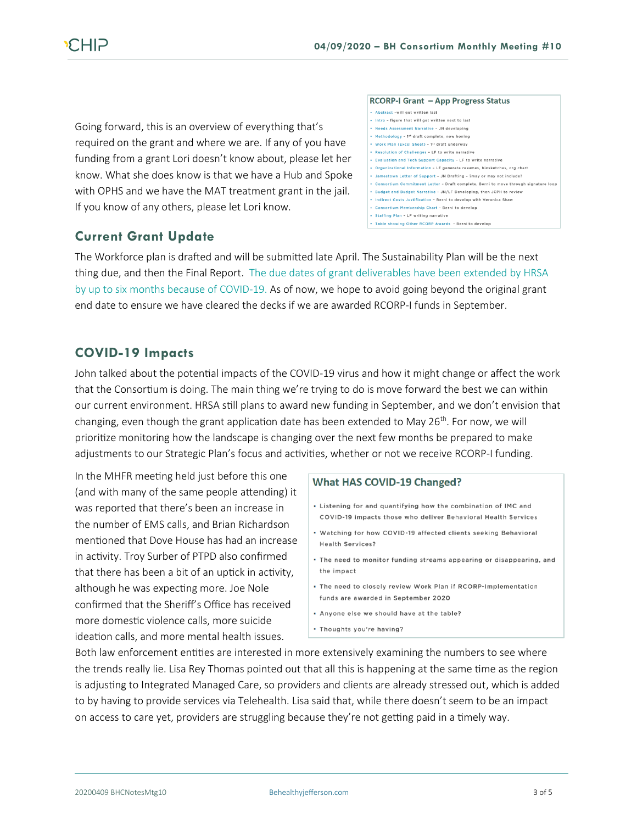Going forward, this is an overview of everything that's required on the grant and where we are. If any of you have funding from a grant Lori doesn't know about, please let her know. What she does know is that we have a Hub and Spoke with OPHS and we have the MAT treatment grant in the jail. If you know of any others, please let Lori know.

## **Current Grant Update**

#### RCORP-I Grant - App Progress Status

- \* Abstract -will get written last
- . Intro figure that will get written next to last
- \* Needs Assessment Narrative JN developing \* Methodology - 1<sup>st</sup> draft complete, now honing
- . Work Plan (Excel Sheet) 1st draft underway
- **Resolution of Challenges LF to write narrative**
- Evaluation and Tech Support Capacity LF to write narrative
- .<br>Organizational Information LF generate resumes, biosketches, org chart .<br>Jamestown Letter of Support – JN Drafting – ?may or may not include
- Consortium Commitment Letter Draft complete, Berni to move through signature loop
- \* Budget and Budget Narrative JN/LF Developing, then JCPH to review
- . Indirect Costs Justification Berni to develop with Veronica Shaw
	- Consortium Membership Chart Berni to develop . Staffing Plan - LF writing narrative
	- . Table showing Other RCORP Awards Berni to develop

The Workforce plan is drafted and will be submitted late April. The Sustainability Plan will be the next thing due, and then the Final Report. The due dates of grant deliverables have been extended by HRSA by up to six months because of COVID-19. As of now, we hope to avoid going beyond the original grant end date to ensure we have cleared the decks if we are awarded RCORP-I funds in September.

### **COVID-19 Impacts**

John talked about the potential impacts of the COVID-19 virus and how it might change or affect the work that the Consortium is doing. The main thing we're trying to do is move forward the best we can within our current environment. HRSA still plans to award new funding in September, and we don't envision that changing, even though the grant application date has been extended to May  $26^{th}$ . For now, we will prioritize monitoring how the landscape is changing over the next few months be prepared to make adjustments to our Strategic Plan's focus and activities, whether or not we receive RCORP-I funding.

In the MHFR meeting held just before this one (and with many of the same people attending) it was reported that there's been an increase in the number of EMS calls, and Brian Richardson mentioned that Dove House has had an increase in activity. Troy Surber of PTPD also confirmed that there has been a bit of an uptick in activity, although he was expecting more. Joe Nole confirmed that the Sheriff's Office has received more domestic violence calls, more suicide ideation calls, and more mental health issues.

#### What HAS COVID-19 Changed?

- . Listening for and quantifying how the combination of IMC and COVID-19 impacts those who deliver Behavioral Health Services
- . Watching for how COVID-19 affected clients seeking Behavioral **Health Services?**
- . The need to monitor funding streams appearing or disappearing, and the impact
- . The need to closely review Work Plan if RCORP-Implementation funds are awarded in September 2020
- . Anyone else we should have at the table?
- \* Thoughts you're having?

Both law enforcement entities are interested in more extensively examining the numbers to see where the trends really lie. Lisa Rey Thomas pointed out that all this is happening at the same time as the region is adjusting to Integrated Managed Care, so providers and clients are already stressed out, which is added to by having to provide services via Telehealth. Lisa said that, while there doesn't seem to be an impact on access to care yet, providers are struggling because they're not getting paid in a timely way.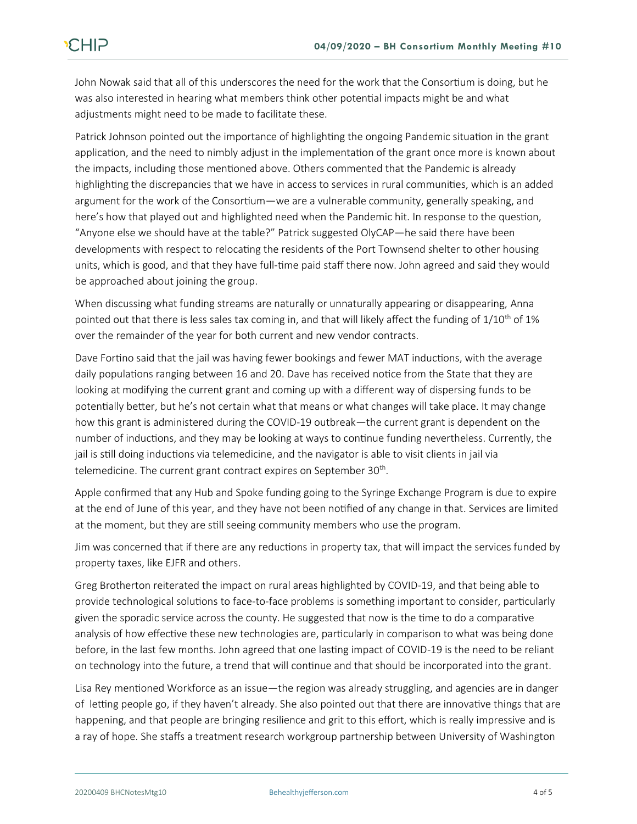John Nowak said that all of this underscores the need for the work that the Consortium is doing, but he was also interested in hearing what members think other potential impacts might be and what adjustments might need to be made to facilitate these.

Patrick Johnson pointed out the importance of highlighting the ongoing Pandemic situation in the grant application, and the need to nimbly adjust in the implementation of the grant once more is known about the impacts, including those mentioned above. Others commented that the Pandemic is already highlighting the discrepancies that we have in access to services in rural communities, which is an added argument for the work of the Consortium—we are a vulnerable community, generally speaking, and here's how that played out and highlighted need when the Pandemic hit. In response to the question, "Anyone else we should have at the table?" Patrick suggested OlyCAP—he said there have been developments with respect to relocating the residents of the Port Townsend shelter to other housing units, which is good, and that they have full-time paid staff there now. John agreed and said they would be approached about joining the group.

When discussing what funding streams are naturally or unnaturally appearing or disappearing, Anna pointed out that there is less sales tax coming in, and that will likely affect the funding of  $1/10^{th}$  of 1% over the remainder of the year for both current and new vendor contracts.

Dave Fortino said that the jail was having fewer bookings and fewer MAT inductions, with the average daily populations ranging between 16 and 20. Dave has received notice from the State that they are looking at modifying the current grant and coming up with a different way of dispersing funds to be potentially better, but he's not certain what that means or what changes will take place. It may change how this grant is administered during the COVID-19 outbreak—the current grant is dependent on the number of inductions, and they may be looking at ways to continue funding nevertheless. Currently, the jail is still doing inductions via telemedicine, and the navigator is able to visit clients in jail via telemedicine. The current grant contract expires on September 30<sup>th</sup>.

Apple confirmed that any Hub and Spoke funding going to the Syringe Exchange Program is due to expire at the end of June of this year, and they have not been notified of any change in that. Services are limited at the moment, but they are still seeing community members who use the program.

Jim was concerned that if there are any reductions in property tax, that will impact the services funded by property taxes, like EJFR and others.

Greg Brotherton reiterated the impact on rural areas highlighted by COVID-19, and that being able to provide technological solutions to face-to-face problems is something important to consider, particularly given the sporadic service across the county. He suggested that now is the time to do a comparative analysis of how effective these new technologies are, particularly in comparison to what was being done before, in the last few months. John agreed that one lasting impact of COVID-19 is the need to be reliant on technology into the future, a trend that will continue and that should be incorporated into the grant.

Lisa Rey mentioned Workforce as an issue—the region was already struggling, and agencies are in danger of letting people go, if they haven't already. She also pointed out that there are innovative things that are happening, and that people are bringing resilience and grit to this effort, which is really impressive and is a ray of hope. She staffs a treatment research workgroup partnership between University of Washington